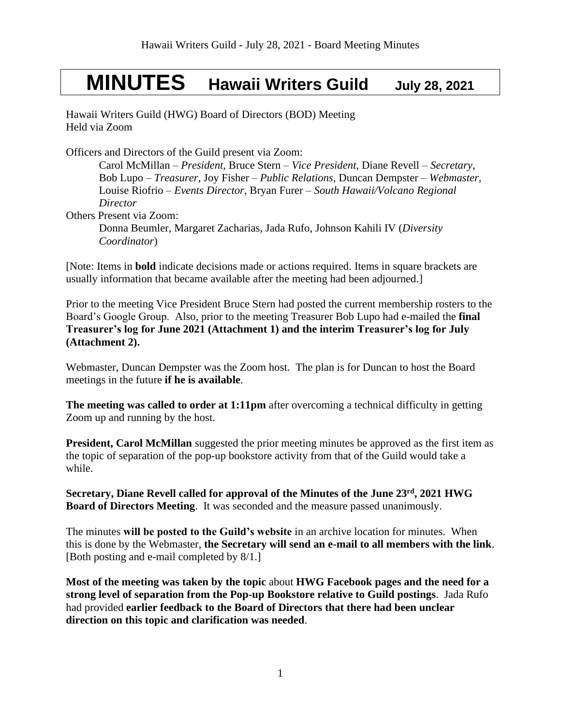# **MINUTES Hawaii Writers Guild July 28, 2021**

Hawaii Writers Guild (HWG) Board of Directors (BOD) Meeting Held via Zoom

Officers and Directors of the Guild present via Zoom:

Carol McMillan – *President*, Bruce Stern – *Vice President*, Diane Revell – *Secretary*, Bob Lupo – *Treasurer,* Joy Fisher – *Public Relations*, Duncan Dempster – *Webmaster,*  Louise Riofrio – *Events Director,* Bryan Furer – *South Hawaii/Volcano Regional Director*

Others Present via Zoom:

Donna Beumler, Margaret Zacharias, Jada Rufo, Johnson Kahili IV (*Diversity Coordinator*)

[Note: Items in **bold** indicate decisions made or actions required. Items in square brackets are usually information that became available after the meeting had been adjourned.]

Prior to the meeting Vice President Bruce Stern had posted the current membership rosters to the Board's Google Group. Also, prior to the meeting Treasurer Bob Lupo had e-mailed the **final Treasurer's log for June 2021 (Attachment 1) and the interim Treasurer's log for July (Attachment 2).** 

Webmaster, Duncan Dempster was the Zoom host. The plan is for Duncan to host the Board meetings in the future **if he is available**.

**The meeting was called to order at 1:11pm** after overcoming a technical difficulty in getting Zoom up and running by the host.

**President, Carol McMillan** suggested the prior meeting minutes be approved as the first item as the topic of separation of the pop-up bookstore activity from that of the Guild would take a while.

**Secretary, Diane Revell called for approval of the Minutes of the June 23 rd , 2021 HWG Board of Directors Meeting**.It was seconded and the measure passed unanimously.

The minutes **will be posted to the Guild's website** in an archive location for minutes. When this is done by the Webmaster, **the Secretary will send an e-mail to all members with the link**. [Both posting and e-mail completed by 8/1.]

**Most of the meeting was taken by the topic** about **HWG Facebook pages and the need for a strong level of separation from the Pop-up Bookstore relative to Guild postings**. Jada Rufo had provided **earlier feedback to the Board of Directors that there had been unclear direction on this topic and clarification was needed**.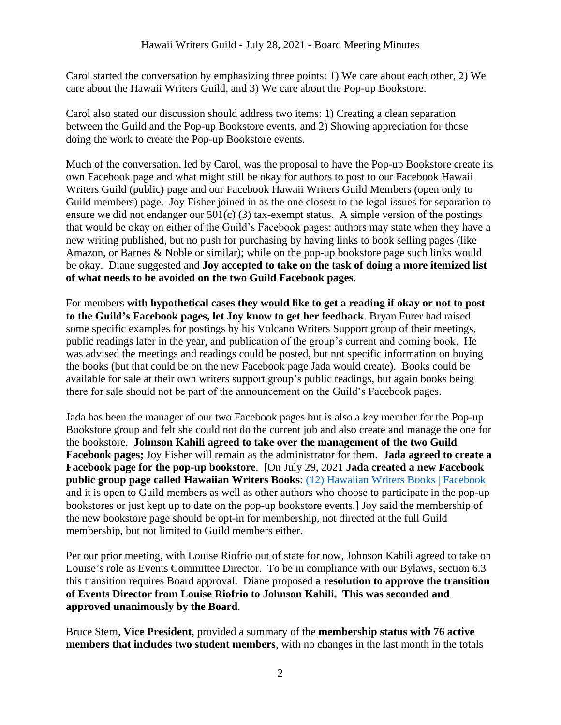Carol started the conversation by emphasizing three points: 1) We care about each other, 2) We care about the Hawaii Writers Guild, and 3) We care about the Pop-up Bookstore.

Carol also stated our discussion should address two items: 1) Creating a clean separation between the Guild and the Pop-up Bookstore events, and 2) Showing appreciation for those doing the work to create the Pop-up Bookstore events.

Much of the conversation, led by Carol, was the proposal to have the Pop-up Bookstore create its own Facebook page and what might still be okay for authors to post to our Facebook Hawaii Writers Guild (public) page and our Facebook Hawaii Writers Guild Members (open only to Guild members) page. Joy Fisher joined in as the one closest to the legal issues for separation to ensure we did not endanger our  $501(c)$  (3) tax-exempt status. A simple version of the postings that would be okay on either of the Guild's Facebook pages: authors may state when they have a new writing published, but no push for purchasing by having links to book selling pages (like Amazon, or Barnes & Noble or similar); while on the pop-up bookstore page such links would be okay. Diane suggested and **Joy accepted to take on the task of doing a more itemized list of what needs to be avoided on the two Guild Facebook pages**.

For members **with hypothetical cases they would like to get a reading if okay or not to post to the Guild's Facebook pages, let Joy know to get her feedback**. Bryan Furer had raised some specific examples for postings by his Volcano Writers Support group of their meetings, public readings later in the year, and publication of the group's current and coming book. He was advised the meetings and readings could be posted, but not specific information on buying the books (but that could be on the new Facebook page Jada would create). Books could be available for sale at their own writers support group's public readings, but again books being there for sale should not be part of the announcement on the Guild's Facebook pages.

Jada has been the manager of our two Facebook pages but is also a key member for the Pop-up Bookstore group and felt she could not do the current job and also create and manage the one for the bookstore. **Johnson Kahili agreed to take over the management of the two Guild Facebook pages;** Joy Fisher will remain as the administrator for them. **Jada agreed to create a Facebook page for the pop-up bookstore**. [On July 29, 2021 **Jada created a new Facebook public group page called Hawaiian Writers Books**: [\(12\) Hawaiian Writers Books | Facebook](https://www.facebook.com/groups/1275417182882178/) and it is open to Guild members as well as other authors who choose to participate in the pop-up bookstores or just kept up to date on the pop-up bookstore events.] Joy said the membership of the new bookstore page should be opt-in for membership, not directed at the full Guild membership, but not limited to Guild members either.

Per our prior meeting, with Louise Riofrio out of state for now, Johnson Kahili agreed to take on Louise's role as Events Committee Director. To be in compliance with our Bylaws, section 6.3 this transition requires Board approval. Diane proposed **a resolution to approve the transition of Events Director from Louise Riofrio to Johnson Kahili. This was seconded and approved unanimously by the Board**.

Bruce Stern, **Vice President**, provided a summary of the **membership status with 76 active members that includes two student members**, with no changes in the last month in the totals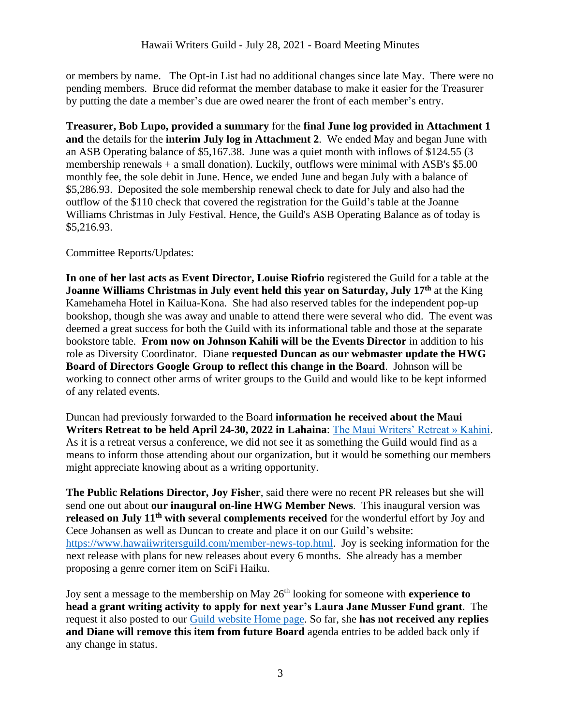or members by name. The Opt-in List had no additional changes since late May. There were no pending members. Bruce did reformat the member database to make it easier for the Treasurer by putting the date a member's due are owed nearer the front of each member's entry.

**Treasurer, Bob Lupo, provided a summary** for the **final June log provided in Attachment 1 and** the details for the **interim July log in Attachment 2**. We ended May and began June with an ASB Operating balance of \$5,167.38. June was a quiet month with inflows of \$124.55 (3 membership renewals + a small donation). Luckily, outflows were minimal with ASB's \$5.00 monthly fee, the sole debit in June. Hence, we ended June and began July with a balance of \$5,286.93. Deposited the sole membership renewal check to date for July and also had the outflow of the \$110 check that covered the registration for the Guild's table at the Joanne Williams Christmas in July Festival. Hence, the Guild's ASB Operating Balance as of today is \$5,216.93.

#### Committee Reports/Updates:

In one of her last acts as Event Director, Louise Riofrio registered the Guild for a table at the **Joanne Williams Christmas in July event held this year on Saturday, July 17th** at the King Kamehameha Hotel in Kailua-Kona. She had also reserved tables for the independent pop-up bookshop, though she was away and unable to attend there were several who did. The event was deemed a great success for both the Guild with its informational table and those at the separate bookstore table. **From now on Johnson Kahili will be the Events Director** in addition to his role as Diversity Coordinator. Diane **requested Duncan as our webmaster update the HWG Board of Directors Google Group to reflect this change in the Board**. Johnson will be working to connect other arms of writer groups to the Guild and would like to be kept informed of any related events.

Duncan had previously forwarded to the Board **information he received about the Maui Writers Retreat to be held April 24-30, 2022 in Lahaina**: [The Maui Writers' Retreat » Kahini.](http://www.kahini.org/the-maui-writers-retreat/) As it is a retreat versus a conference, we did not see it as something the Guild would find as a means to inform those attending about our organization, but it would be something our members might appreciate knowing about as a writing opportunity.

**The Public Relations Director, Joy Fisher**, said there were no recent PR releases but she will send one out about **our inaugural on-line HWG Member News**. This inaugural version was **released on July 11th with several complements received** for the wonderful effort by Joy and Cece Johansen as well as Duncan to create and place it on our Guild's website: [https://www.hawaiiwritersguild.com/member-news-top.html.](https://www.hawaiiwritersguild.com/member-news-top.html) Joy is seeking information for the next release with plans for new releases about every 6 months. She already has a member proposing a genre corner item on SciFi Haiku.

Joy sent a message to the membership on May 26th looking for someone with **experience to head a grant writing activity to apply for next year's Laura Jane Musser Fund grant**. The request it also posted to our [Guild website Home page.](https://www.hawaiiwritersguild.com/) So far, she **has not received any replies and Diane will remove this item from future Board** agenda entries to be added back only if any change in status.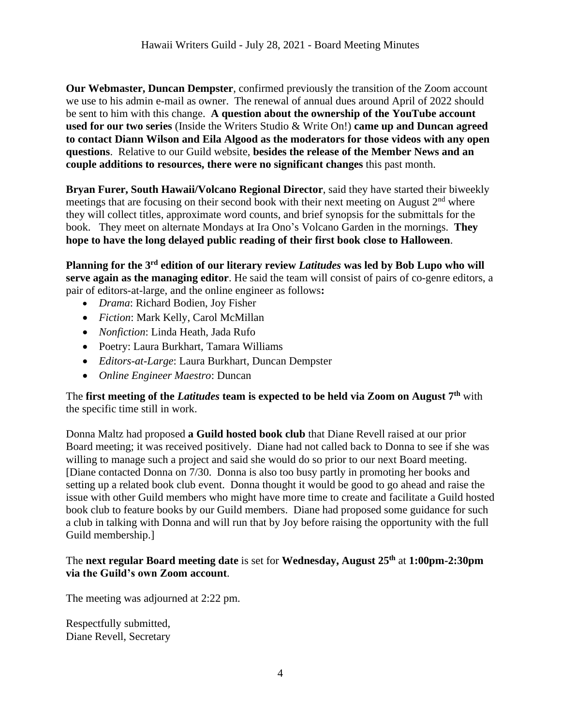**Our Webmaster, Duncan Dempster**, confirmed previously the transition of the Zoom account we use to his admin e-mail as owner. The renewal of annual dues around April of 2022 should be sent to him with this change. **A question about the ownership of the YouTube account used for our two series** (Inside the Writers Studio & Write On!) **came up and Duncan agreed to contact Diann Wilson and Eila Algood as the moderators for those videos with any open questions**. Relative to our Guild website, **besides the release of the Member News and an couple additions to resources, there were no significant changes** this past month.

**Bryan Furer, South Hawaii/Volcano Regional Director**, said they have started their biweekly meetings that are focusing on their second book with their next meeting on August  $2<sup>nd</sup>$  where they will collect titles, approximate word counts, and brief synopsis for the submittals for the book. They meet on alternate Mondays at Ira Ono's Volcano Garden in the mornings. **They hope to have the long delayed public reading of their first book close to Halloween**.

**Planning for the 3rd edition of our literary review** *Latitudes* **was led by Bob Lupo who will serve again as the managing editor**. He said the team will consist of pairs of co-genre editors, a pair of editors-at-large, and the online engineer as follows**:**

- *Drama*: Richard Bodien, Joy Fisher
- *Fiction*: Mark Kelly, Carol McMillan
- *Nonfiction*: Linda Heath, Jada Rufo
- Poetry: Laura Burkhart, Tamara Williams
- *Editors-at-Large*: Laura Burkhart, Duncan Dempster
- *Online Engineer Maestro*: Duncan

The **first meeting of the** *Latitudes* **team is expected to be held via Zoom on August 7th** with the specific time still in work.

Donna Maltz had proposed **a Guild hosted book club** that Diane Revell raised at our prior Board meeting; it was received positively. Diane had not called back to Donna to see if she was willing to manage such a project and said she would do so prior to our next Board meeting. [Diane contacted Donna on 7/30. Donna is also too busy partly in promoting her books and setting up a related book club event. Donna thought it would be good to go ahead and raise the issue with other Guild members who might have more time to create and facilitate a Guild hosted book club to feature books by our Guild members. Diane had proposed some guidance for such a club in talking with Donna and will run that by Joy before raising the opportunity with the full Guild membership.]

#### The **next regular Board meeting date** is set for **Wednesday, August 25 th** at **1:00pm-2:30pm via the Guild's own Zoom account**.

The meeting was adjourned at 2:22 pm.

Respectfully submitted, Diane Revell, Secretary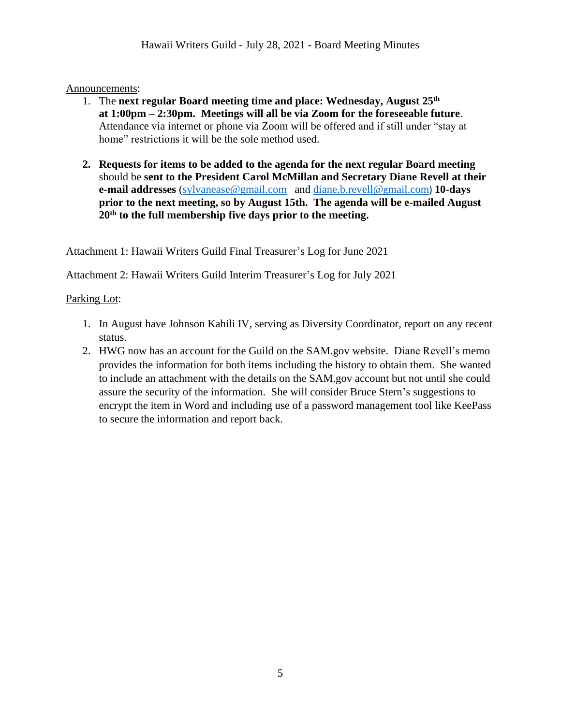### Announcements:

- 1. The **next regular Board meeting time and place: Wednesday, August 25 th at 1:00pm – 2:30pm. Meetings will all be via Zoom for the foreseeable future**. Attendance via internet or phone via Zoom will be offered and if still under "stay at home" restrictions it will be the sole method used.
- **2. Requests for items to be added to the agenda for the next regular Board meeting** should be **sent to the President Carol McMillan and Secretary Diane Revell at their e-mail addresses** [\(sylvanease@gmail.com](mailto:sylvanease@gmail.com) and [diane.b.revell@](mailto:diane.b.revell@gmail.com)gmail.com) **10-days prior to the next meeting, so by August 15th. The agenda will be e-mailed August 20th to the full membership five days prior to the meeting.**

Attachment 1: Hawaii Writers Guild Final Treasurer's Log for June 2021

Attachment 2: Hawaii Writers Guild Interim Treasurer's Log for July 2021

## Parking Lot:

- 1. In August have Johnson Kahili IV, serving as Diversity Coordinator, report on any recent status.
- 2. HWG now has an account for the Guild on the SAM.gov website. Diane Revell's memo provides the information for both items including the history to obtain them. She wanted to include an attachment with the details on the SAM.gov account but not until she could assure the security of the information. She will consider Bruce Stern's suggestions to encrypt the item in Word and including use of a password management tool like KeePass to secure the information and report back.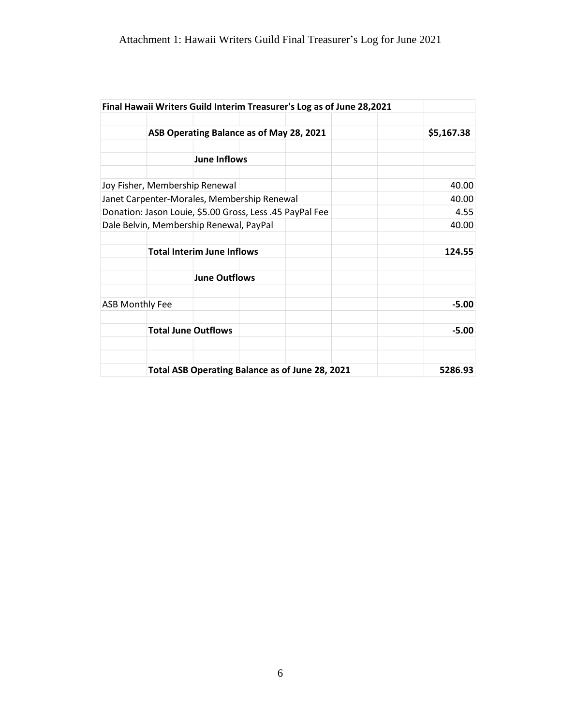|                                                          |                                          |                                   | Final Hawaii Writers Guild Interim Treasurer's Log as of June 28,2021 |         |
|----------------------------------------------------------|------------------------------------------|-----------------------------------|-----------------------------------------------------------------------|---------|
|                                                          | ASB Operating Balance as of May 28, 2021 | \$5,167.38                        |                                                                       |         |
|                                                          |                                          | <b>June Inflows</b>               |                                                                       |         |
|                                                          |                                          | Joy Fisher, Membership Renewal    |                                                                       | 40.00   |
| Janet Carpenter-Morales, Membership Renewal              | 40.00                                    |                                   |                                                                       |         |
| Donation: Jason Louie, \$5.00 Gross, Less .45 PayPal Fee | 4.55                                     |                                   |                                                                       |         |
| Dale Belvin, Membership Renewal, PayPal                  | 40.00                                    |                                   |                                                                       |         |
|                                                          |                                          | <b>Total Interim June Inflows</b> |                                                                       | 124.55  |
|                                                          |                                          | <b>June Outflows</b>              |                                                                       |         |
| <b>ASB Monthly Fee</b>                                   |                                          |                                   |                                                                       | $-5.00$ |
|                                                          |                                          | <b>Total June Outflows</b>        |                                                                       | $-5.00$ |
|                                                          |                                          |                                   | Total ASB Operating Balance as of June 28, 2021                       | 5286.93 |